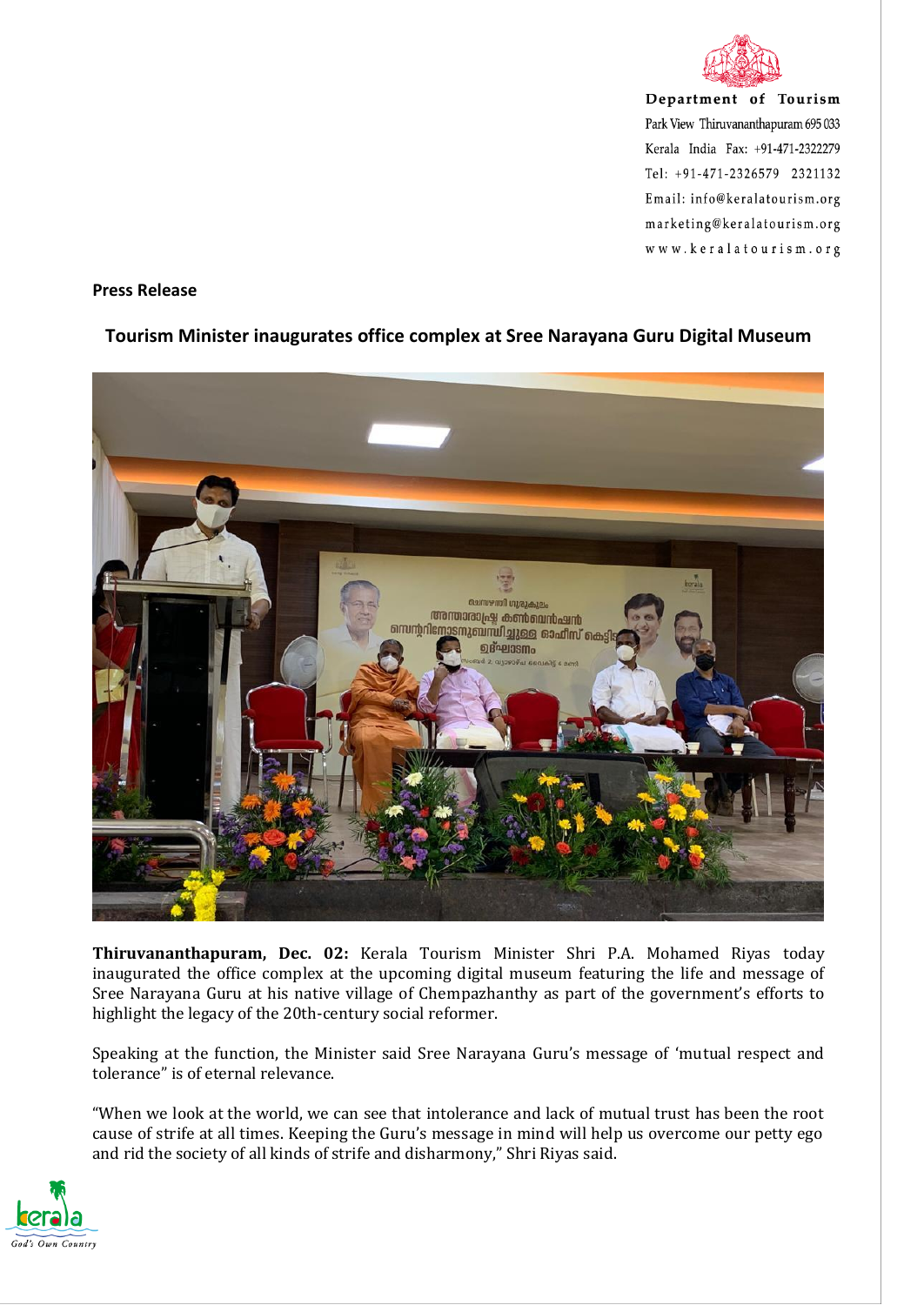

Department of Tourism Park View Thiruvananthapuram 695 033 Kerala India Fax: +91-471-2322279 Tel: +91-471-2326579 2321132 Email: info@keralatourism.org marketing@keralatourism.org www.keralatourism.org

## **Press Release**

## **Tourism Minister inaugurates office complex at Sree Narayana Guru Digital Museum**



**Thiruvananthapuram, Dec. 02:** Kerala Tourism Minister Shri P.A. Mohamed Riyas today inaugurated the office complex at the upcoming digital museum featuring the life and message of Sree Narayana Guru at his native village of Chempazhanthy as part of the government's efforts to highlight the legacy of the 20th-century social reformer.

Speaking at the function, the Minister said Sree Narayana Guru's message of 'mutual respect and tolerance" is of eternal relevance.

"When we look at the world, we can see that intolerance and lack of mutual trust has been the root cause of strife at all times. Keeping the Guru's message in mind will help us overcome our petty ego and rid the society of all kinds of strife and disharmony," Shri Riyas said.